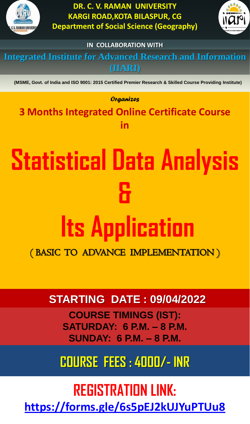**Integrated Institute for Advanced Research and Information (IIARI)**

**(MSME, Govt. of India and ISO 9001: 2015 Certified Premier Research & Skilled Course Providing Institute)**



**DR. C. V. RAMAN UNIVERSITY KARGI ROAD,KOTA BILASPUR, CG Department of Social Science (Geography)**



**IN COLLABORATION WITH**

# **STARTING DATE : 09/04/2022**

**COURSE TIMINGS (IST): SATURDAY: 6 P.M. – 8 P.M. SUNDAY: 6 P.M. – 8 P.M.**

## **COURSE FEES : 4000/- INR**

*Organizes*

# **Statistical Data Analysis & Its Application**  ( BASIC TO ADVANCE IMPLEMENTATION )

**3 Months Integrated Online Certificate Course in** 

## **REGISTRATION LINK: <https://forms.gle/6s5pEJ2kUJYuPTUu8>**